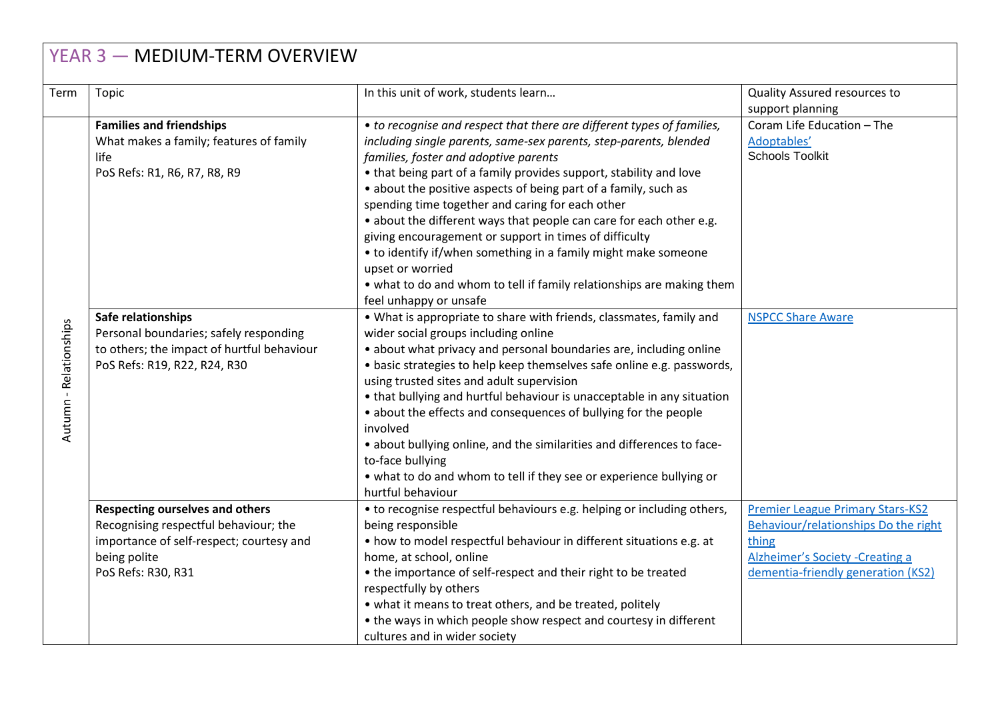| YEAR 3 - MEDIUM-TERM OVERVIEW |                                                                                                                                                                   |                                                                                                                                                                                                                                                                                                                                                                                                                                                                                                                                                                                                                                                                                                             |                                                                                                                                                                    |  |  |
|-------------------------------|-------------------------------------------------------------------------------------------------------------------------------------------------------------------|-------------------------------------------------------------------------------------------------------------------------------------------------------------------------------------------------------------------------------------------------------------------------------------------------------------------------------------------------------------------------------------------------------------------------------------------------------------------------------------------------------------------------------------------------------------------------------------------------------------------------------------------------------------------------------------------------------------|--------------------------------------------------------------------------------------------------------------------------------------------------------------------|--|--|
| Term                          | Topic                                                                                                                                                             | In this unit of work, students learn                                                                                                                                                                                                                                                                                                                                                                                                                                                                                                                                                                                                                                                                        | Quality Assured resources to<br>support planning                                                                                                                   |  |  |
| Autumn - Relationships        | <b>Families and friendships</b><br>What makes a family; features of family<br>life<br>PoS Refs: R1, R6, R7, R8, R9                                                | • to recognise and respect that there are different types of families,<br>including single parents, same-sex parents, step-parents, blended<br>families, foster and adoptive parents<br>• that being part of a family provides support, stability and love<br>• about the positive aspects of being part of a family, such as<br>spending time together and caring for each other<br>• about the different ways that people can care for each other e.g.<br>giving encouragement or support in times of difficulty<br>• to identify if/when something in a family might make someone<br>upset or worried<br>• what to do and whom to tell if family relationships are making them<br>feel unhappy or unsafe | Coram Life Education - The<br>Adoptables'<br><b>Schools Toolkit</b>                                                                                                |  |  |
|                               | Safe relationships<br>Personal boundaries; safely responding<br>to others; the impact of hurtful behaviour<br>PoS Refs: R19, R22, R24, R30                        | . What is appropriate to share with friends, classmates, family and<br>wider social groups including online<br>• about what privacy and personal boundaries are, including online<br>• basic strategies to help keep themselves safe online e.g. passwords,<br>using trusted sites and adult supervision<br>• that bullying and hurtful behaviour is unacceptable in any situation<br>• about the effects and consequences of bullying for the people<br>involved<br>• about bullying online, and the similarities and differences to face-<br>to-face bullying<br>• what to do and whom to tell if they see or experience bullying or<br>hurtful behaviour                                                 | <b>NSPCC Share Aware</b>                                                                                                                                           |  |  |
|                               | <b>Respecting ourselves and others</b><br>Recognising respectful behaviour; the<br>importance of self-respect; courtesy and<br>being polite<br>PoS Refs: R30, R31 | • to recognise respectful behaviours e.g. helping or including others,<br>being responsible<br>• how to model respectful behaviour in different situations e.g. at<br>home, at school, online<br>• the importance of self-respect and their right to be treated<br>respectfully by others<br>• what it means to treat others, and be treated, politely<br>• the ways in which people show respect and courtesy in different<br>cultures and in wider society                                                                                                                                                                                                                                                | <b>Premier League Primary Stars-KS2</b><br>Behaviour/relationships Do the right<br>thing<br>Alzheimer's Society - Creating a<br>dementia-friendly generation (KS2) |  |  |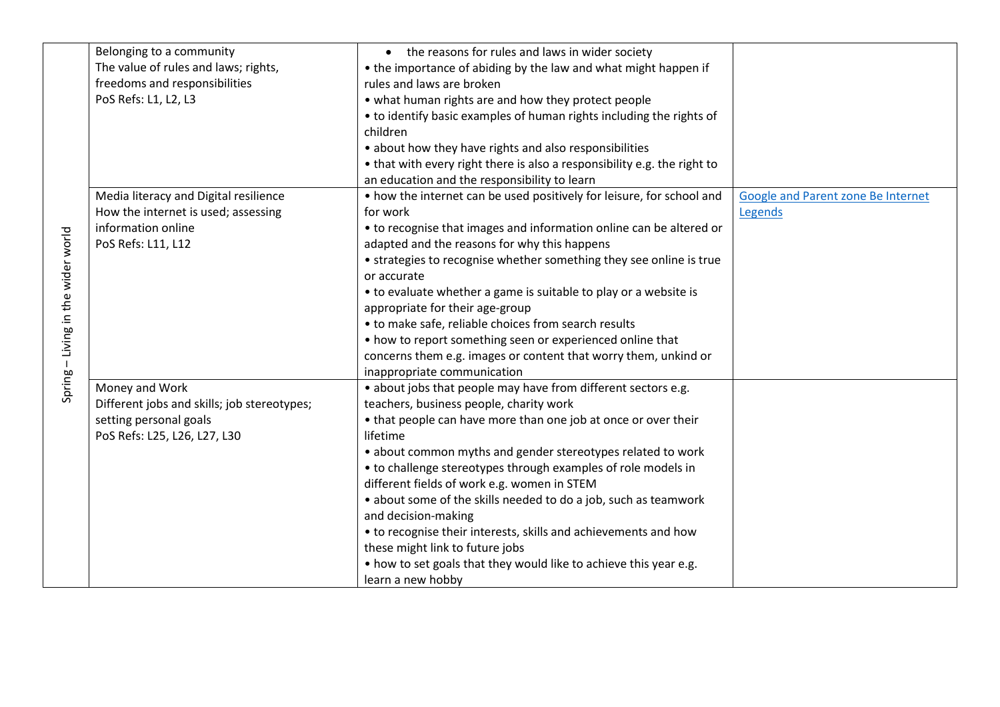|                             | Belonging to a community                    | • the reasons for rules and laws in wider society                        |                                    |
|-----------------------------|---------------------------------------------|--------------------------------------------------------------------------|------------------------------------|
|                             | The value of rules and laws; rights,        | • the importance of abiding by the law and what might happen if          |                                    |
|                             | freedoms and responsibilities               | rules and laws are broken                                                |                                    |
|                             | PoS Refs: L1, L2, L3                        | • what human rights are and how they protect people                      |                                    |
|                             |                                             | • to identify basic examples of human rights including the rights of     |                                    |
|                             |                                             | children                                                                 |                                    |
|                             |                                             | • about how they have rights and also responsibilities                   |                                    |
|                             |                                             | • that with every right there is also a responsibility e.g. the right to |                                    |
|                             |                                             | an education and the responsibility to learn                             |                                    |
|                             | Media literacy and Digital resilience       | • how the internet can be used positively for leisure, for school and    | Google and Parent zone Be Internet |
|                             | How the internet is used; assessing         | for work                                                                 | Legends                            |
|                             | information online                          | • to recognise that images and information online can be altered or      |                                    |
|                             | PoS Refs: L11, L12                          | adapted and the reasons for why this happens                             |                                    |
|                             |                                             | • strategies to recognise whether something they see online is true      |                                    |
|                             |                                             | or accurate                                                              |                                    |
|                             |                                             | • to evaluate whether a game is suitable to play or a website is         |                                    |
|                             |                                             | appropriate for their age-group                                          |                                    |
| - Living in the wider world |                                             | • to make safe, reliable choices from search results                     |                                    |
|                             |                                             | • how to report something seen or experienced online that                |                                    |
|                             |                                             | concerns them e.g. images or content that worry them, unkind or          |                                    |
|                             |                                             | inappropriate communication                                              |                                    |
| Spring                      | Money and Work                              | • about jobs that people may have from different sectors e.g.            |                                    |
|                             | Different jobs and skills; job stereotypes; | teachers, business people, charity work                                  |                                    |
|                             | setting personal goals                      | • that people can have more than one job at once or over their           |                                    |
|                             | PoS Refs: L25, L26, L27, L30                | lifetime                                                                 |                                    |
|                             |                                             | • about common myths and gender stereotypes related to work              |                                    |
|                             |                                             | • to challenge stereotypes through examples of role models in            |                                    |
|                             |                                             | different fields of work e.g. women in STEM                              |                                    |
|                             |                                             | • about some of the skills needed to do a job, such as teamwork          |                                    |
|                             |                                             | and decision-making                                                      |                                    |
|                             |                                             | • to recognise their interests, skills and achievements and how          |                                    |
|                             |                                             | these might link to future jobs                                          |                                    |
|                             |                                             | • how to set goals that they would like to achieve this year e.g.        |                                    |
|                             |                                             | learn a new hobby                                                        |                                    |